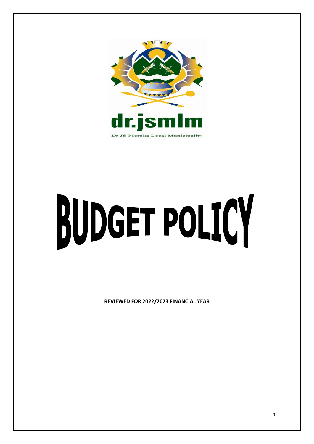

# BUDGET POLICY

**REVIEWED FOR 2022/2023 FINANCIAL YEAR**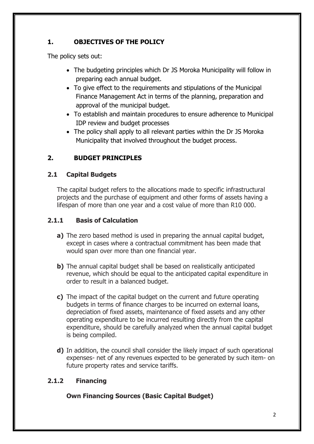# **1. OBJECTIVES OF THE POLICY**

The policy sets out:

- The budgeting principles which Dr JS Moroka Municipality will follow in preparing each annual budget.
- To give effect to the requirements and stipulations of the Municipal Finance Management Act in terms of the planning, preparation and approval of the municipal budget.
- To establish and maintain procedures to ensure adherence to Municipal IDP review and budget processes
- The policy shall apply to all relevant parties within the Dr JS Moroka Municipality that involved throughout the budget process.

# **2. BUDGET PRINCIPLES**

## **2.1 Capital Budgets**

The capital budget refers to the allocations made to specific infrastructural projects and the purchase of equipment and other forms of assets having a lifespan of more than one year and a cost value of more than R10 000.

# **2.1.1 Basis of Calculation**

- **a)** The zero based method is used in preparing the annual capital budget, except in cases where a contractual commitment has been made that would span over more than one financial year.
- **b**) The annual capital budget shall be based on realistically anticipated revenue, which should be equal to the anticipated capital expenditure in order to result in a balanced budget.
- **c)** The impact of the capital budget on the current and future operating budgets in terms of finance charges to be incurred on external loans, depreciation of fixed assets, maintenance of fixed assets and any other operating expenditure to be incurred resulting directly from the capital expenditure, should be carefully analyzed when the annual capital budget is being compiled.
- **d**) In addition, the council shall consider the likely impact of such operational expenses- net of any revenues expected to be generated by such item- on future property rates and service tariffs.

# **2.1.2 Financing**

# **Own Financing Sources (Basic Capital Budget)**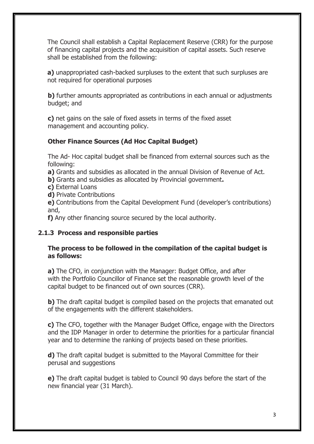The Council shall establish a Capital Replacement Reserve (CRR) for the purpose of financing capital projects and the acquisition of capital assets. Such reserve shall be established from the following:

**a)** unappropriated cash-backed surpluses to the extent that such surpluses are not required for operational purposes

**b)** further amounts appropriated as contributions in each annual or adjustments budget; and

**c)** net gains on the sale of fixed assets in terms of the fixed asset management and accounting policy.

## **Other Finance Sources (Ad Hoc Capital Budget)**

The Ad- Hoc capital budget shall be financed from external sources such as the following:

**a)** Grants and subsidies as allocated in the annual Division of Revenue of Act.

**b)** Grants and subsidies as allocated by Provincial government**.**

- **c)** External Loans
- **d)** Private Contributions

**e)** Contributions from the Capital Development Fund (developer's contributions) and,

**f)** Any other financing source secured by the local authority.

#### **2.1.3 Process and responsible parties**

#### **The process to be followed in the compilation of the capital budget is as follows:**

**a)** The CFO, in conjunction with the Manager: Budget Office, and after with the Portfolio Councillor of Finance set the reasonable growth level of the capital budget to be financed out of own sources (CRR).

**b**) The draft capital budget is compiled based on the projects that emanated out of the engagements with the different stakeholders.

**c)** The CFO, together with the Manager Budget Office, engage with the Directors and the IDP Manager in order to determine the priorities for a particular financial year and to determine the ranking of projects based on these priorities.

**d)** The draft capital budget is submitted to the Mayoral Committee for their perusal and suggestions

**e)** The draft capital budget is tabled to Council 90 days before the start of the new financial year (31 March).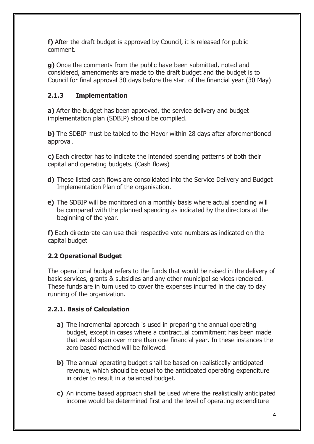**f)** After the draft budget is approved by Council, it is released for public comment.

**g)** Once the comments from the public have been submitted, noted and considered, amendments are made to the draft budget and the budget is to Council for final approval 30 days before the start of the financial year (30 May)

## **2.1.3 Implementation**

**a)** After the budget has been approved, the service delivery and budget implementation plan (SDBIP) should be compiled.

**b)** The SDBIP must be tabled to the Mayor within 28 days after aforementioned approval.

**c)** Each director has to indicate the intended spending patterns of both their capital and operating budgets. (Cash flows)

- **d)** These listed cash flows are consolidated into the Service Delivery and Budget Implementation Plan of the organisation.
- **e)** The SDBIP will be monitored on a monthly basis where actual spending will be compared with the planned spending as indicated by the directors at the beginning of the year.

**f)** Each directorate can use their respective vote numbers as indicated on the capital budget

# **2.2 Operational Budget**

The operational budget refers to the funds that would be raised in the delivery of basic services, grants & subsidies and any other municipal services rendered. These funds are in turn used to cover the expenses incurred in the day to day running of the organization.

# **2.2.1. Basis of Calculation**

- **a)** The incremental approach is used in preparing the annual operating budget, except in cases where a contractual commitment has been made that would span over more than one financial year. In these instances the zero based method will be followed.
- **b**) The annual operating budget shall be based on realistically anticipated revenue, which should be equal to the anticipated operating expenditure in order to result in a balanced budget.
- **c)** An income based approach shall be used where the realistically anticipated income would be determined first and the level of operating expenditure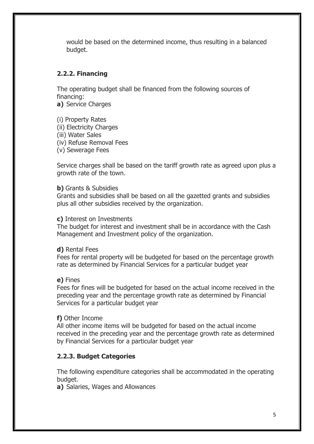would be based on the determined income, thus resulting in a balanced budget.

#### **2.2.2. Financing**

The operating budget shall be financed from the following sources of financing:

**a)** Service Charges

(i) Property Rates (ii) Electricity Charges (iii) Water Sales (iv) Refuse Removal Fees (v) Sewerage Fees

Service charges shall be based on the tariff growth rate as agreed upon plus a growth rate of the town.

#### **b)** Grants & Subsidies

Grants and subsidies shall be based on all the gazetted grants and subsidies plus all other subsidies received by the organization.

#### **c)** Interest on Investments

The budget for interest and investment shall be in accordance with the Cash Management and Investment policy of the organization.

#### **d)** Rental Fees

Fees for rental property will be budgeted for based on the percentage growth rate as determined by Financial Services for a particular budget year

#### **e)** Fines

Fees for fines will be budgeted for based on the actual income received in the preceding year and the percentage growth rate as determined by Financial Services for a particular budget year

#### **f)** Other Income

All other income items will be budgeted for based on the actual income received in the preceding year and the percentage growth rate as determined by Financial Services for a particular budget year

#### **2.2.3. Budget Categories**

The following expenditure categories shall be accommodated in the operating budget.

**a)** Salaries, Wages and Allowances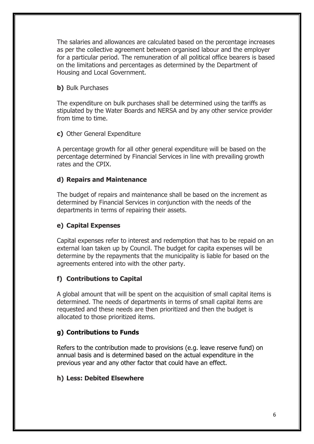The salaries and allowances are calculated based on the percentage increases as per the collective agreement between organised labour and the employer for a particular period. The remuneration of all political office bearers is based on the limitations and percentages as determined by the Department of Housing and Local Government.

#### **b)** Bulk Purchases

The expenditure on bulk purchases shall be determined using the tariffs as stipulated by the Water Boards and NERSA and by any other service provider from time to time.

#### **c)** Other General Expenditure

A percentage growth for all other general expenditure will be based on the percentage determined by Financial Services in line with prevailing growth rates and the CPIX.

#### **d) Repairs and Maintenance**

The budget of repairs and maintenance shall be based on the increment as determined by Financial Services in conjunction with the needs of the departments in terms of repairing their assets.

## **e) Capital Expenses**

Capital expenses refer to interest and redemption that has to be repaid on an external loan taken up by Council. The budget for capita expenses will be determine by the repayments that the municipality is liable for based on the agreements entered into with the other party.

#### **f) Contributions to Capital**

A global amount that will be spent on the acquisition of small capital items is determined. The needs of departments in terms of small capital items are requested and these needs are then prioritized and then the budget is allocated to those prioritized items.

#### **g) Contributions to Funds**

Refers to the contribution made to provisions (e.g. leave reserve fund) on annual basis and is determined based on the actual expenditure in the previous year and any other factor that could have an effect.

#### **h) Less: Debited Elsewhere**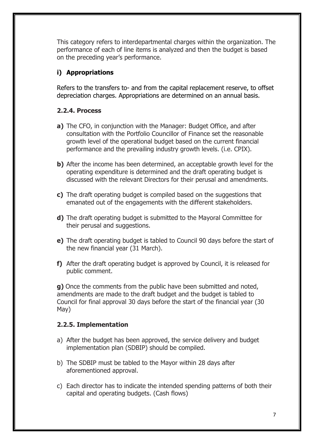This category refers to interdepartmental charges within the organization. The performance of each of line items is analyzed and then the budget is based on the preceding year's performance.

## **i) Appropriations**

Refers to the transfers to- and from the capital replacement reserve, to offset depreciation charges. Appropriations are determined on an annual basis.

## **2.2.4. Process**

- **a)** The CFO, in conjunction with the Manager: Budget Office, and after consultation with the Portfolio Councillor of Finance set the reasonable growth level of the operational budget based on the current financial performance and the prevailing industry growth levels. (i.e. CPIX).
- **b**) After the income has been determined, an acceptable growth level for the operating expenditure is determined and the draft operating budget is discussed with the relevant Directors for their perusal and amendments.
- **c)** The draft operating budget is compiled based on the suggestions that emanated out of the engagements with the different stakeholders.
- **d)** The draft operating budget is submitted to the Mayoral Committee for their perusal and suggestions.
- **e)** The draft operating budget is tabled to Council 90 days before the start of the new financial year (31 March).
- **f)** After the draft operating budget is approved by Council, it is released for public comment.

**g)** Once the comments from the public have been submitted and noted, amendments are made to the draft budget and the budget is tabled to Council for final approval 30 days before the start of the financial year (30 May)

## **2.2.5. Implementation**

- a) After the budget has been approved, the service delivery and budget implementation plan (SDBIP) should be compiled.
- b) The SDBIP must be tabled to the Mayor within 28 days after aforementioned approval.
- c) Each director has to indicate the intended spending patterns of both their capital and operating budgets. (Cash flows)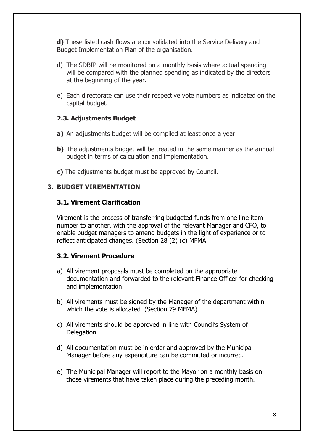**d)** These listed cash flows are consolidated into the Service Delivery and Budget Implementation Plan of the organisation.

- d) The SDBIP will be monitored on a monthly basis where actual spending will be compared with the planned spending as indicated by the directors at the beginning of the year.
- e) Each directorate can use their respective vote numbers as indicated on the capital budget.

## **2.3. Adjustments Budget**

- **a)** An adjustments budget will be compiled at least once a year.
- **b**) The adjustments budget will be treated in the same manner as the annual budget in terms of calculation and implementation.
- **c)** The adjustments budget must be approved by Council.

## **3. BUDGET VIREMENTATION**

#### **3.1. Virement Clarification**

Virement is the process of transferring budgeted funds from one line item number to another, with the approval of the relevant Manager and CFO, to enable budget managers to amend budgets in the light of experience or to reflect anticipated changes. (Section 28 (2) (c) MFMA.

#### **3.2. Virement Procedure**

- a) All virement proposals must be completed on the appropriate documentation and forwarded to the relevant Finance Officer for checking and implementation.
- b) All virements must be signed by the Manager of the department within which the vote is allocated. (Section 79 MFMA)
- c) All virements should be approved in line with Council's System of Delegation.
- d) All documentation must be in order and approved by the Municipal Manager before any expenditure can be committed or incurred.
- e) The Municipal Manager will report to the Mayor on a monthly basis on those virements that have taken place during the preceding month.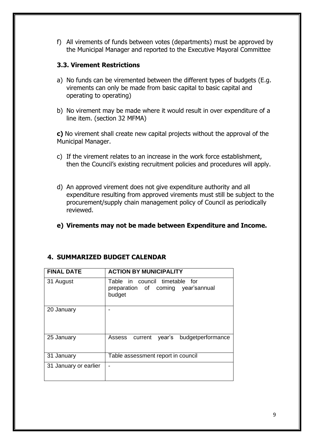f) All virements of funds between votes (departments) must be approved by the Municipal Manager and reported to the Executive Mayoral Committee

#### **3.3. Virement Restrictions**

- a) No funds can be viremented between the different types of budgets (E.g. virements can only be made from basic capital to basic capital and operating to operating)
- b) No virement may be made where it would result in over expenditure of a line item. (section 32 MFMA)

**c)** No virement shall create new capital projects without the approval of the Municipal Manager.

- c) If the virement relates to an increase in the work force establishment, then the Council's existing recruitment policies and procedures will apply.
- d) An approved virement does not give expenditure authority and all expenditure resulting from approved virements must still be subject to the procurement/supply chain management policy of Council as periodically reviewed.
- **e) Virements may not be made between Expenditure and Income.**

| <b>FINAL DATE</b>     | <b>ACTION BY MUNICIPALITY</b>                                                  |
|-----------------------|--------------------------------------------------------------------------------|
| 31 August             | Table in council timetable for<br>preparation of coming year'sannual<br>budget |
| 20 January            |                                                                                |
| 25 January            | year's budgetperformance<br>Assess current                                     |
| 31 January            | Table assessment report in council                                             |
| 31 January or earlier |                                                                                |

# **4. SUMMARIZED BUDGET CALENDAR**